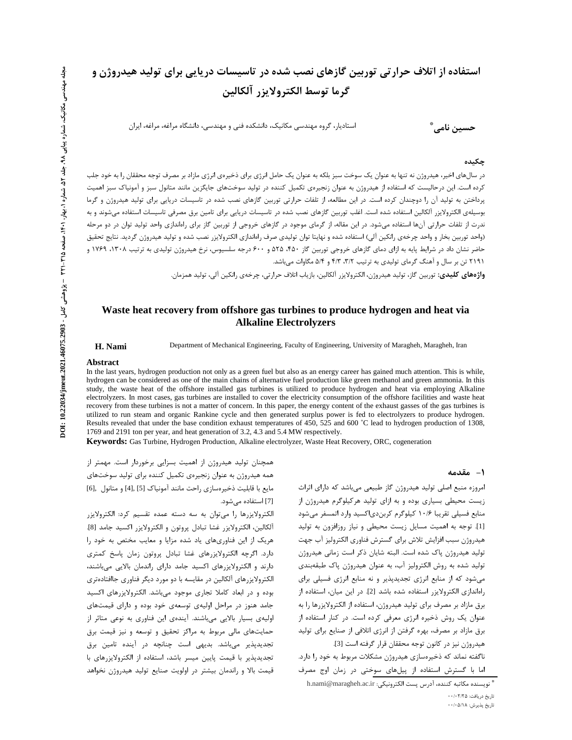# استفاده از اتلاف حرار تی توربین گازهای نصب شده در تاسیسات دریایی برای تولید هیدروژن و **گرما توسط الكترولايزر آلكالين**

استادیار، گروه مهندسی مکانیک، دانشکده فنی و مهندسی، دانشگاه مراغه، مراغه، ایران

**حسین نامی** ٌ

#### چکیده

در سالهای اخیر، هیدروژن نه تنها به عنوان یک سوخت سبز بلکه به عنوان یک حامل انرژی برای ذخیرهی انرژی مازاد بر مصرف توجه محققان را به خود جلب کرده است. این درحالیست که استفاده از هیدروژن به عنوان زنجیرهی تکمیل کننده در تولید سوختهای جایگزین مانند متانول سبز و آمونیاک سبز اهمیت پرداختن به تولید آن را دوچندان کرده است. در این مطالعه، از تلفات حرارتی توربین گازهای نصب شده در تاسیسات دریایی برای تولید هیدروژن و گرما بوسيلهي الكترولايزر ألكالين استفاده شده است. اغلب توربين گازهاي نصب شده در تاسيسات دريايي براي تامين برق مصرفي تاسيسات استفاده ميشوند و به ندرت از تلفات حرارتی آنها استفاده میشود. در این مقاله، از گرمای موجود در گازهای خروجی از توربین گاز برای راهاندازی واحد تولید توان در دو مرحله (واحد توربين بخار و واحد چرخهي رانكين آلي) استفاده شده و نهايتا توان توليدي صرف راهاندازي الكترولايزر نصب شده و توليد هيدروژن گرديد. نتايج تحقيق حاضر نشان داد در شرایط پایه به ازای دمای گازهای خروجی توربین گاز ۴۵۰ ۲۵۵ و ۶۰۰ درجه سلسیوس، نرخ هیدروژن تولیدی به ترتیب ۱۳۰۸، ۱۷۶۹ و ۲۱۹۱ تن بر سال و آهنگ گرمای تولیدی به ترتیب ۳/۲، ۴/۳ و ۵/۴ مگاوات می باشد.

**واژههای کلیدی:** توربین گاز، تولید هیدروژن، الکترولایزر آلکالین، بازیاب اتلاف حرارتی، چرخهی رانکین آلی، تولید همزمان.

### **Waste heat recovery from offshore gas turbines to produce hydrogen and heat via Alkaline Electrolyzers**

**H. Nami** Department of Mechanical Engineering, Faculty of Engineering, University of Maragheh, Maragheh, Iran

#### **Abstract**

In the last years, hydrogen production not only as a green fuel but also as an energy career has gained much attention. This is while, hydrogen can be considered as one of the main chains of alternative fuel production like green methanol and green ammonia. In this study, the waste heat of the offshore installed gas turbines is utilized to produce hydrogen and heat via employing Alkaline electrolyzers. In most cases, gas turbines are installed to cover the electricity consumption of the offshore facilities and waste heat recovery from these turbines is not a matter of concern. In this paper, the energy content of the exhaust gasses of the gas turbines is utilized to run steam and organic Rankine cycle and then generated surplus power is fed to electrolyzers to produce hydrogen. Results revealed that under the base condition exhaust temperatures of 450, 525 and 600 ˚C lead to hydrogen production of 1308, 1769 and 2191 ton per year, and heat generation of 3.2, 4.3 and 5.4 MW respectively.

**Keywords:** Gas Turbine, Hydrogen Production, Alkaline electrolyzer, Waste Heat Recovery, ORC, cogeneration

#### **1**- مقدمه

همچنان تولید هیدروژن از اهمیت بسزایی برخوردار است. مهمتر از همه هیدروژن به عنوان زنجیرهی تکمیل کننده برای تولید سوختهای مايع با قابليت ذخيرهسازي راحت مانند آمونياك [5] ,[4] و متانول ,[6] [7] استفاده مے شود.

الکترولایزرها را میتوان به سه دسته عمده تقسیم کرد: الکترولایزر آلكالين، الكترولايزر غشا تبادل پروتون و الكترولايزر اكسيد جامد [8]. هریک از این فناوریهای یاد شده مزایا و معایب مختص به خود را دارد. اگرچه الکترولایزرهای غشا تبادل پروتون زمان پاسخ کمتری دارند و الکترولایزرهای اکسید جامد دارای راندمان بالایی میباشند، الکترولایزرهای آلکالین در مقایسه با دو مورد دیگر فناوری جاافتادهتری بوده و در ابعاد کاملا تجاری موجود میباشد. الکترولایزرهای اکسید جامد هنوز در مراحل اولیهی توسعهی خود بوده و دارای قیمتهای اولیهی بسیار بالایی میباشند. آیندهی این فناوری به نوعی متاثر از حمایتهای مالی مربوط به مراکز تحقیق و توسعه و نیز قیمت برق تجدیدپذیر میباشد. بدیهی است چنانچه در آینده تامین برق تجدیدپذیر با قیمت پایین میسر باشد، استفاده از الکترولایزرهای با قیمت بالا و راندمان بیشتر در اولویت صنایع تولید هیدروژن نخواهد

امروزه منبع اصلی تولید هیدروژن گاز طبیعی میباشد که دارای اثراث زیست محیطی بسیاری بوده و به ازای تولید هرکیلوگرم هیدروژن از منابع فسيلي تقريبا ١٠/۶ كيلوگرم كربندى|كسيد وارد اتمسفر مىشود [1]. توجه به اهميت مسايل زيست محيطى و نياز روزافزون به توليد هيدروژن سبب افزايش تلاش براي گسترش فناوري الكتروليز آب جهت تولید هیدروژن پاک شده است. البته شایان ذکر است زمانی هیدروژن تولید شده به روش الکترولیز آب، به عنوان هیدروژن پاک طبقهبندی می شود که از منابع انرژی تجدیدپذیر و نه منابع انرژی فسیلی برای راهاندازی الکترولایزر استفاده شده باشد [2]. در این میان، استفاده از برق مازاد بر مصرف برای تولید هیدروژن، استفاده از الکترولایزرها را به عنوان یک روش ذخیره انرژی معرفی کرده است. در کنار استفاده از برق مازاد بر مصرف، بهره گرفتن از انرژی اتلافی از صنایع برای تولید هيدروژن نيز در كانون توجه محققان قرار گرفته است [3].

ناگفته نماند که ذخیرهسازی هیدروژن مشکلات مربوط به خود را دارد. اما با گسترش استفاده از پیلهای سوختی در زمان اوج مصرف

\* نويسنده مكاتبه كننده، آدرس پست الكترونيكى: h.nami@maragheh.ac.ir

تاریخ دریافت: ۲/۲۵ ۰۰/۰۲/۲۵

تاريخ پذيرش: ۵/۱۸-۰۰/۰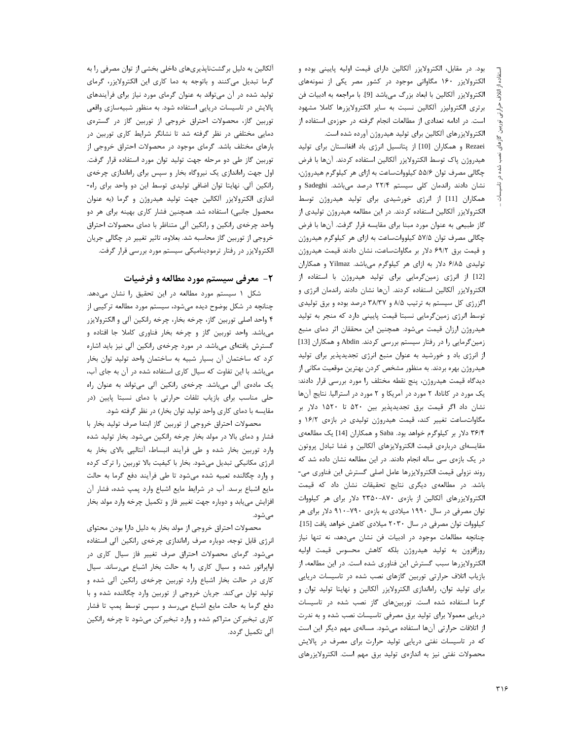بود. در مقابل، الكترولايزر آلكالين داراى قيمت اوليه پايينى بوده و الکترولایزر ۱۶۰ مگاواتی موجود در کشور مصر یکی از نمونههای الكترولايزر آلكالين با ابعاد بزرگ ميباشد [9]. با مراجعه به ادبيات فن برتری الکترولیزر آلکالین نسبت به سایر الکترولایزرها کاملا مشهود است. در ادامه تعدادی از مطالعات انجام گرفته در حوزهی استفاده از الكترولايزرهاى آلكالين براى توليد هيدروژن آورده شده است.

Rezaei و همكاران [10] از پتانسيل انرژى باد افغانستان براى توليد هيدروژن پاک توسط الكترولايزر آلكالين استفاده كردند. آنها با فرض چگالی مصرف توان ۵۵/۶ کیلوواتساعت به ازای هر کیلوگرم هیدروژن، نشان دادند راندمان کلی سیستم ۲۲/۴ درصد میباشد. Sadeghi و همکاران [11] از انرژی خورشیدی برای تولید هیدروژن توسط الکترولایزر آلکالین استفاده کردند. در این مطالعه هیدروژن تولیدی از گاز طبیعی به عنوان مورد مبنا برای مقایسه قرار گرفت. آنها با فرض چگالی مصرف توان ۵۷/۵ کیلوواتساعت به ازای هر کیلوگرم هیدروژن و قیمت برق ۶۹/۲ دلار بر مگاواتساعت، نشان دادند قیمت هیدروژن تولیدی ۶/۸۵ دلار به ازای هر کیلوگرم میباشد. Yilmaz و همکاران [12] از انرژی زمینگرمایی برای تولید هیدروژن با استفاده از الكترولايزر آلكالين استفاده كردند. آنها نشان دادند راندمان انرژى و اگزرژی کل سیستم به ترتیب ۸/۵ و ۳۸/۳۷ درصد بوده و برق تولیدی توسط انرژی زمینگرمایی نسبتا قیمت پایینی دارد که منجر به تولید هیدروژن ارزان قیمت میشود. همچنین این محققان اثر دمای منبع زمینگرمایی را در رفتار سیستم بررسی کردند. Abdin و همکاران [13] از انرژی باد و خورشید به عنوان منبع انرژی تجدیدپذیر برای تولید هیدروژن بهره بردند. به منظور مشخص کردن بهترین موقعیت مکانی از ديدگاه قيمت هيدروژن، پنج نقطه مختلف را مورد بررسي قرار دادند: یک مورد در کانادا، ۲ مورد در آمریکا و ۲ مورد در استرالیا. نتایج آنها نشان داد اگر قیمت برق تجدیدپذیر بین ۵۲۰ تا ۱۵۲۰ دلار بر مگاواتساعت تغییر کند، قیمت هیدروژن تولیدی در بازهی ۱۶/۲ و ۳۶/۴ دلار بر کیلوگرم خواهد بود. Saba و همکاران [14] یک مطالعهی مقايسهاى دربارەى قيمت الكترولايزهاى آلكالين و غشا تبادل پروتون در یک بازهی سی ساله انجام دادند. در این مطالعه نشان داده شد که روند نزولي قيمت الكترولايزرها عامل اصلي گسترش اين فناوري مي-باشد. در مطالعهی دیگری نتایج تحقیقات نشان داد که قیمت الکترولایزرهای آلکالین از بازهی ۸۷۰–۲۳۵۰ دلار برای هر کیلووات توان مصرفی در سال ۱۹۹۰ میلادی به بازهی ۷۹۰-۹۱۰ دلار برای هر کیلووات توان مصرفی در سال ۲۰۳۰ میلادی کاهش خواهد یافت [15]. چنانچه مطالعات موجود در ادبیات فن نشان میدهد، نه تنها نیاز روزافزون به توليد هيدروژن بلكه كاهش محسوس قيمت اوليه الکترولایزرها سبب گسترش این فناوری شده است. در این مطالعه، از بازیاب اتلاف حرارتی توربین گازهای نصب شده در تاسیسات دریایی برای تولید توان، راهاندازی الکترولایزر آلکالین و نهایتا تولید توان و گرما استفاده شده است. توربینهای گاز نصب شده در تاسیسات دریایی معمولا برای تولید برق مصرفی تاسیسات نصب شده و به ندرت از اتلافات حرارتی آنها استفاده میشود. مسالهی مهم دیگر این است که در تاسیسات نفتی دریایی تولید حرارت برای مصرف در پالایش محصولات نفتی نیز به اندازهی تولید برق مهم است. الکترولایزرهای

آلکالین به دلیل برگشتناپذیریهای داخلی بخشی از توان مصرفی را به گرما تبدیل میکنند و باتوجه به دما کاری این الکترولایزر، گرمای تولید شده در آن میتواند به عنوان گرمای مورد نیاز برای فرآیندهای پالایش در تاسیسات دریایی استفاده شود. به منظور شبیهسازی واقعی توربین گاز، محصولات احتراق خروجی از توربین گاز در گسترهی دمایی مختلفی در نظر گرفته شد تا نشانگر شرایط کاری توربین در بارهای مختلف باشد. گرمای موجود در محصولات احتراق خروجی از توربین گاز طی دو مرحله جهت تولید توان مورد استفاده قرار گرفت. اول جهت راهاندازی یک نیروگاه بخار و سپس برای راهاندازی چرخهی رانکین آلی. نهایتا توان اضافی تولیدی توسط این دو واحد برای راه-اندازی الکترولایزر آلکالین جهت تولید هیدروژن و گرما (به عنوان محصول جانبی) استفاده شد. همچنین فشار کاری بهینه برای هر دو واحد چرخهی رانکین و رانکین آلی متناظر با دمای محصولات احتراق خروجی از توربین گاز محاسبه شد. بعلاوه، تاثیر تغییر در چگالی جریان الکترولایزر در رفتار ترمودینامیکی سیستم مورد بررسی قرار گرفت.

# **۲**- معرفی سیستم مورد مطالعه و فرضیات

شکل ۱ سیستم مورد مطالعه در این تحقیق را نشان میدهد. چنانچه در شکل بوضوح دیده میشود، سیستم مورد مطالعه ترکیبی از ۴ واحد اصلی توربین گاز، چرخه بخار، چرخه رانکین آلی و الکترولایزر میباشد. واحد توربین گاز و چرخه بخار فناوری کاملا جا افتاده و گسترش یافتهای میباشد. در مورد چرخهی رانکین آلی نیز باید اشاره كرد كه ساختمان آن بسيار شبيه به ساختمان واحد توليد توان بخار میباشد. با این تفاوت که سیال کاری استفاده شده در آن به جای آب، یک مادهی آلی میباشد. چرخهی رانکین آلی می تواند به عنوان راه حلی مناسب برای بازیاب تلفات حرارتی با دمای نسبتا پایین (در مقایسه با دمای کاری واحد تولید توان بخار) در نظر گرفته شود.

محصولات احتراق خروجي از توربين گاز ابتدا صرف توليد بخار با فشار و دمای بالا در مولد بخار چرخه رانکین میشود. بخار تولید شده وارد توربین بخار شده و طی فرآیند انبساط، آنتالپی بالای بخار به انرژی مکانیکی تبدیل میشود. بخار با کیفیت بالا توربین را ترک کرده و وارد چگالنده تعبیه شده میشود تا طی فرآیند دفع گرما به حالت مایع اشباع برسد. آب در شرایط مایع اشباع وارد پمپ شده، فشار آن افزایش مییابد و دوباره جهت تغییر فاز و تکمیل چرخه وارد مولد بخار مے شود.

محصولات احتراق خروجي از مولد بخار به دليل دارا بودن محتواي انرژی قابل توجه، دوباره صرف راهاندازی چرخهی رانکین آلی استفاده میشود. گرمای محصولات احتراق صرف تغییر فاز سیال کاری در اواپراتور شده و سیال کاری را به حالت بخار اشباع می رساند. سیال کاری در حالت بخار اشباع وارد توربین چرخهی رانکین آلی شده و تولید توان میکند. جریان خروجی از توربین وارد چگالنده شده و با دفع گرما به حالت مایع اشباع میرسد و سپس توسط پمپ تا فشار کاری تبخیر کن متراکم شده و وارد تبخیر کن می شود تا چرخه رانکین آلی تکمیل گردد.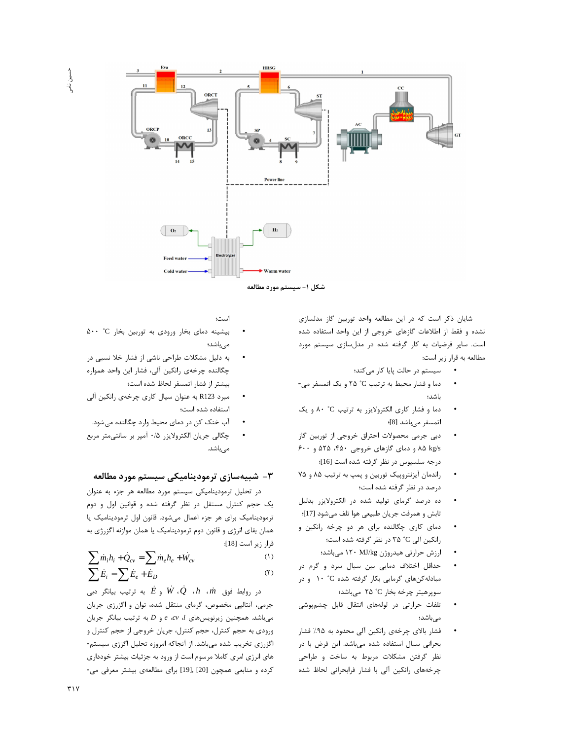

شایان ذکر است که در این مطالعه واحد توربین گاز مدلسازی نشده و فقط از اطلاعات گازهای خروجی از این واحد استفاده شده است. سایر فرضیات به کار گرفته شده در مدلسازی سیستم مورد مطالعه به قرار زیر است:

- سیستم در حالت پایا کار میکند؛  $\bullet$
- دما و فشار محیط به ترتیب C° ۲۵ و یک اتمسفر می-باشد؛
- دما و فشار کاری الکترولایزر به ترتیب C° ۸۰ و یک  $\bullet$ اتمسفر مىباشد [8]؛
- دبی جرمی محصولات احتراق خروجی از توربین گاز ۸۵ kg/s ۸۵ و دمای گازهای خروجی ۴۵۰، ۵۲۵ و ۶۰۰ درجه سلسیوس در نظر گرفته شده است [16]؛
- راندمان آیزنتروپیک توربین و پمپ به ترتیب ۸۵ و ۷۵  $\bullet$ درصد در نظر گرفته شده است؛
- ده درصد گرمای تولید شده در الکترولایزر بدلیل تابش و همرفت جريان طبيعي هوا تلف ميشود [17]؛
- دمای کاری چگالنده برای هر دو چرخه رانکین و  $\bullet$ رانکین آلی C° ۳۵ در نظر گرفته شده است؛
	- ارزش حرارتی هیدروژن ۱۲۰ MJ/kg میباشد؛
- حداقل اختلاف دمايي بين سيال سرد و گرم در مبادله کنهای گرمایی بکار گرفته شده C° ۱۰ و در سوپرهيتر چرخه بخار C° ۲۵ مىباشد؛
- تلفات حرارتی در لولههای انتقال قابل چشمپوشی  $\bullet$ مے باشد؛
- فشار بالای چرخهی رانکین آلی محدود به ۹۵٪ فشار بحرانی سیال استفاده شده میباشد. این فرض با در نظر گرفتن مشكلات مربوط به ساخت و طراحى چرخههای رانکین آلی با فشار فرابحرانی لحاظ شده

است؛

- بیشینه دمای بخار ورودی به توربین بخار a۰۰ °C می باشد؛
- به دلیل مشکلات طراحی ناشی از فشار خلا نسبی در چگالنده چرخهی رانکین آلی، فشار این واحد همواره بيشتر از فشار اتمسفر لحاظ شده است؛
- مبرد R123 به عنوان سيال كاري چرخهي رانكين آلي استفاده شده است؛
- آب خنک کن در دمای محیط وارد چگالنده می شود.
- چگالی جریان الکترولایزر ۰/۵ آمپر بر سانتیمتر مربع مے باشد.

## ۳- شبیهسازی ترمودینامیکی سیستم مورد مطالعه

در تحلیل ترمودینامیکی سیستم مورد مطالعه هر جزء به عنوان یک حجم کنترل مستقل در نظر گرفته شده و قوانین اول و دوم ترمودینامیک برای هر جزء اعمال می شود. قانون اول ترمودینامیک یا همان بقای انرژی و قانون دوم ترمودینامیک یا همان موازنه اگزرژی به قرار زير است [18]:

$$
\sum \dot{m}_i h_i + \dot{Q}_{cv} = \sum \dot{m}_e h_e + \dot{W}_{cv}
$$
 (1)

$$
\sum \dot{E}_i = \sum \dot{E}_e + \dot{E}_D \tag{5}
$$

در روابط فوق  $\dot{m}$ ،  $\dot{R}$  ،  $Q$ ،  $h$ ،  $\dot{m}$  و  $\dot{E}$  به ترتیب بیانگر دبی جرمی، آنتالپی مخصوص، گرمای منتقل شده، توان و اگزرژی جریان  $P$  میباشد. همچنین زیرنویسهای *a e dv i* و  $P$  به ترتیب بیانگر جریان ورودي به حجم كنترل، حجم كنترل، جريان خروجي از حجم كنترل و اگزرژی تخریب شده میباشد. از آنجاکه امروزه تحلیل اگزژی سیستم-های انرژی امری کاملا مرسوم است از ورود به جزئیات بیشتر خودداری کرده و منابعی همچون [20] ,[19] برای مطالعهی بیشتر معرفی می-

حسين نامح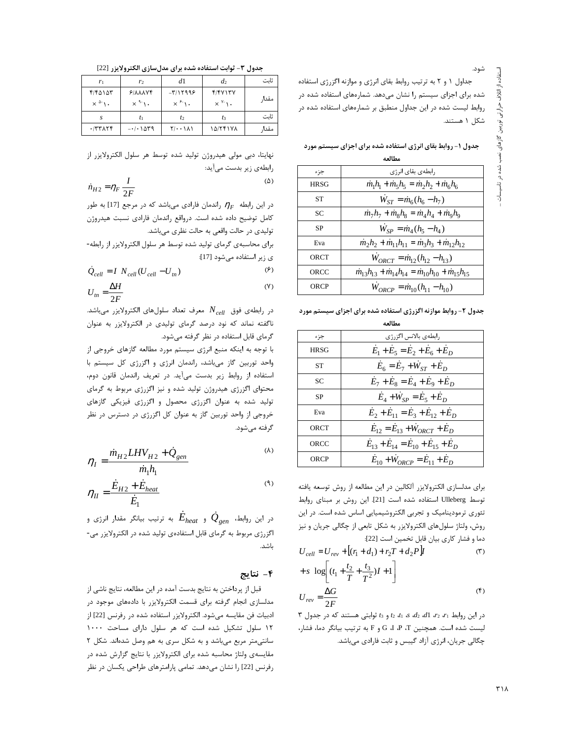شود.

جداول ١ و ٢ به ترتيب روابط بقاى انرژى و موازنه اگزرژى استفاده شده برای اجزای سیستم را نشان میدهد. شمارههای استفاده شده در روابط لیست شده در این جداول منطبق بر شمارههای استفاده شده در شكل ۱ هستند.

جدول ۱- روابط بقای انرژی استفاده شده برای اجزای سیستم مورد مطالعه

| جزء       | رابطهی بقای انرژی                                                                   |
|-----------|-------------------------------------------------------------------------------------|
| HRSG      | $\dot{m}_1 h_1 + \dot{m}_5 h_5 = \dot{m}_2 h_2 + \dot{m}_6 h_6$                     |
| <b>ST</b> | $W_{ST} = \dot{m}_6 (h_6 - h_7)$                                                    |
| SC        | $\dot{m}_7 h_7 + \dot{m}_8 h_8 = \dot{m}_4 h_4 + \dot{m}_9 h_9$                     |
| <b>SP</b> | $W_{SP} = \dot{m}_4 (h_5 - h_4)$                                                    |
| Eva       | $\dot{m}_2 h_2 + \dot{m}_{11} h_{11} = \dot{m}_3 h_3 + \dot{m}_{12} h_{12}$         |
| ORCT      | $W_{ORCT} = \dot{m}_{12} (h_{12} - h_{13})$                                         |
| ORCC      | $\dot{m}_{13}h_{13} + \dot{m}_{14}h_{14} = \dot{m}_{10}h_{10} + \dot{m}_{15}h_{15}$ |
| ORCP      | $\dot{W}_{ORCP} = \dot{m}_{10} (h_{11} - h_{10})$                                   |

جدول ۲- روابط موازنه اگزرژی استفاده شده برای اجزای سیستم مورد

| مصانعه |                                             |  |  |  |
|--------|---------------------------------------------|--|--|--|
| جزء    | رابطەی بالانس اگزرژی                        |  |  |  |
| HRSG   | $E_1 + E_5 = E_2 + E_6 + E_D$               |  |  |  |
| SТ     | $E_6 = E_7 + W_{ST} + E_D$                  |  |  |  |
| SС     | $E_7 + E_8 = E_4 + E_9 + E_D$               |  |  |  |
| SP     | $E_4 + W_{SP} = E_5 + E_D$                  |  |  |  |
| Eva    | $E_2 + E_{11} = E_3 + E_{12} + E_D$         |  |  |  |
| ORCT   | $E_{12} = E_{13} + W_{ORCT} + E_D$          |  |  |  |
| ORCC   | $E_{13} + E_{14} = E_{10} + E_{15} + E_{D}$ |  |  |  |
| ORCP   | $E_{10} + W_{ORCP} = E_{11} + E_D$          |  |  |  |

برای مدلسازی الکترولایزر آلکالین در این مطالعه از روش توسعه یافته توسط Ulleberg استفاده شده است [21]. این روش بر مبنای روابط تئوری ترمودینامیک و تجربی الکتروشیمیایی اساس شده است. در این روش، ولتاژ سلولهای الکترولایزر به شکل تابعی از چگالی جریان و نیز دما و فشار كاري بيان قابل تخمين است [22]:

$$
U_{cell} = U_{rev} + [(r_1 + d_1) + r_2T + d_2P]I
$$
\n
$$
+ s \log \left[ (t_1 + \frac{t_2}{T} + \frac{t_3}{T^2})I + 1 \right]
$$
\n
$$
U_{rev} = \frac{\Delta G}{2E}
$$
\n
$$
(f)
$$

 $\mathbf{v}$  در این روابط  $r_1$   $r_2$   $r_3$   $r_4$   $r_5$   $r_6$   $r_1$   $r_2$   $r_1$  در این روابط  $r_1$ ليست شده است. همچنين G ،I ،P ،T و F به ترتيب بيانگر دما، فشار، چگالی جریان، انرژی آزاد گیبس و ثابت فارادی میباشد.

جدول ٣- ثوابت استفاده شده براي مدلسازي الكترولايزر [22]

| r <sub>1</sub>                             | r2                         | d1                         | $d_2$                    | ثاىت  |
|--------------------------------------------|----------------------------|----------------------------|--------------------------|-------|
| ۴/۴۵۱۵۳                                    | $9/AA$ VF                  | $-T/11999$                 | f/fV                     | مقدا, |
| $\times$ $\lambda$ $\cdot$                 | $\chi \stackrel{q}{\lnot}$ | $\times$ $^{\epsilon}$ \ . | $\times$ $\frac{y}{1}$ . |       |
|                                            | $t_1$                      | t2                         | tз                       | ثاىت  |
| $\cdot$ $ \mathcal{X} \times \mathcal{X} $ | $-1.1$                     | $Y/\cdot\cdot\lambda$      | 10/۲۴۱۷۸                 | مقدار |

نهايتا، دبي مولى هيدروژن توليد شده توسط هر سلول الكترولايزر از رابطهی زیر بدست میآید:

$$
\dot{n}_{H2} = \eta_F \frac{I}{2F}
$$

در این رابطه  $\eta_F$  راندمان فارادی میباشد که در مرجع [17] به طور كامل توضيح داده شده است. درواقع راندمان فارادى نسبت هيدروژن تولیدی در حالت واقعی به حالت نظری میباشد.

برای محاسبهی گرمای تولید شده توسط هر سلول الکترولایزر از رابطه-ی زیر استفاده میشود [17]:

$$
\dot{Q}_{cell} = I \ N_{cell} (U_{cell} - U_{tn}) \tag{8}
$$

$$
U_{in} = \frac{\Delta H}{2F}
$$
 (Y)

در رابطهی فوق  $N_{cell}$  معرف تعداد سلولهای الکترولایزر میباشد. ناگفته نماند که نود درصد گرمای تولیدی در الکترولایزر به عنوان گرمای قابل استفاده در نظر گرفته میشود.

با توجه به اینکه منبع انرژی سیستم مورد مطالعه گازهای خروجی از واحد توربین گاز میباشد، راندمان انرژی و اگزرژی کل سیستم با استفاده از روابط زیر بدست میآید. در تعریف راندمان قانون دوم، محتوای اگزرژی هیدروژن تولید شده و نیز اگزرژی مربوط به گرمای تولید شده به عنوان اگزرژی محصول و اگزرژی فیزیکی گازهای خروجی از واحد توربین گاز به عنوان کل اگزرژی در دسترس در نظر گرفته می شود.

$$
\eta_{I} = \frac{\dot{m}_{H2} LHV_{H2} + \dot{Q}_{gen}}{\dot{m}_{1}h_{1}}
$$

$$
\eta_{II} = \frac{\dot{E}_{H2} + \dot{E}_{heat}}{\dot{E}_1}
$$
 (3)

در این روابط،  $\mathcal{Q}_{gen}$  و  $E_{heat}$  به ترتیب بیانگر مقدار انرژی و اگزرژی مربوط به گرمای قابل استفادهی تولید شده در الکترولایزر می-باشد.

## ۴- نتايج

قبل از پرداختن به نتایج بدست آمده در این مطالعه، نتایج ناشی از مدلسازی انجام گرفته برای قسمت الکترولایزر با دادههای موجود در ادبیات فن مقایسه میشود. الکترولایزر استفاده شده در رفرنس [22] از ١٢ سلول تشكيل شده است كه هر سلول داراى مساحت ١٠٠٠ سانتی متر مربع می باشد و به شکل سری به هم وصل شده اند. شکل ٢ مقایسهی ولتاژ محاسبه شده برای الکترولایزر با نتایج گزارش شده در رفرنس [22] را نشان میدهد. تمامی پارامترهای طراحی یکسان در نظر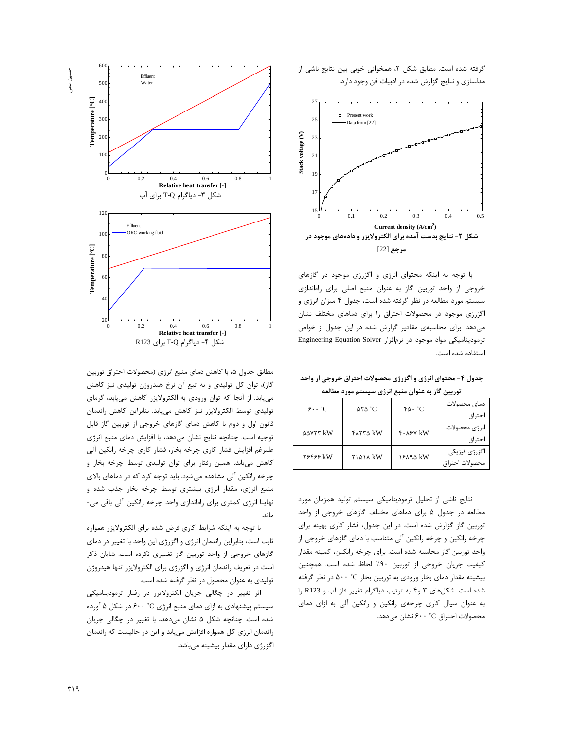



با توجه به اینکه محتوای انرژی و اگزرژی موجود در گازهای خروجی از واحد توربین گاز به عنوان منبع اصلی برای راهاندازی سیستم مورد مطالعه در نظر گرفته شده است، جدول ۴ میزان انرژی و اگزرژی موجود در محصولات احتراق را برای دماهای مختلف نشان میدهد. برای محاسبهی مقادیر گزارش شده در این جدول از خواص ترمودینامیکی مواد موجود در نرمافزار Engineering Equation Solver استفاده شده است.

جدول ۴- محتوای انرژی و اگزرژی محصولات احتراق خروجی از واحد توربین گاز به عنوان منبع انرژی سیستم مورد مطالعه

| $9 \cdot \cdot \degree C$ | $\Delta Y \Delta$ °C | $\mathcal{F}\Delta \cdot {}^{\circ}C$ | دمای محصولات<br>احتراق          |
|---------------------------|----------------------|---------------------------------------|---------------------------------|
| <b>AAVYY KW</b>           | <b>FATTA KW</b>      | $f \cdot \lambda f$ kW                | انرژی محصولات<br>احتراق         |
| 26466 kW                  | <b>TIQIA KW</b>      | 18894 kW                              | اگزرژی فیزیکی<br>محصولات احتراق |

نتایج ناشی از تحلیل ترمودینامیکی سیستم تولید همزمان مورد مطالعه در جدول ۵ برای دماهای مختلف گازهای خروجی از واحد توربین گاز گزارش شده است. در این جدول، فشار کاری بهینه برای چرخه رانکین و چرخه رانکین آلی متناسب با دمای گازهای خروجی از واحد توربين گاز محاسبه شده است. براي چرخه رانكين، كمينه مقدار كيفيت جريان خروجي از توربين ٩٠٪ لحاظ شده است. همچنين بیشینه مقدار دمای بخار ورودی به توربین بخار C° ۵۰۰ در نظر گرفته شده است. شکلهای ۳ و۴ به ترتیب دیاگرام تغییر فاز آب و R123 را به عنوان سیال کاری چرخهی رانکین و رانکین آلی به ازای دمای محصولات احتراق C° ۶۰۰ نشان میدهد.



مطابق جدول ۵، با کاهش دمای منبع انرژی (محصولات احتراق توربین گاز)، توان كل توليدي و به تبع آن نرخ هيدروژن توليدي نيز كاهش می یابد. از آنجا که توان ورودی به الکترولایزر کاهش می یابد، گرمای توليدي توسط الكترولايزر نيز كاهش مييابد. بنابراين كاهش راندمان قانون اول و دوم با كاهش دماي گازهاي خروجي از توربين گاز قابل توجيه است. چنانچه نتايج نشان مىدهد، با افزايش دماى منبع انرژى علیرغم افزایش فشار کاری چرخه بخار، فشار کاری چرخه رانکین آلی کاهش می یابد. همین رفتار برای توان تولیدی توسط چرخه بخار و چرخه رانکین آلی مشاهده میشود. باید توجه کرد که در دماهای بالای منبع انرژی، مقدار انرژی بیشتری توسط چرخه بخار جذب شده و نهايتا انرژى كمترى براى راەاندازى واحد چرخه رانكين آلى باقى مى-ماند.

با توجه به اینکه شرایط کاری فرض شده برای الکترولایزر همواره ثابت است، بنابراین راندمان انرژی و اگزرژی این واحد با تغییر در دمای گازهای خروجی از واحد توربین گاز تغییری نکرده است. شایان ذکر است در تعریف راندمان انرژی و اگزرژی برای الکترولایزر تنها هیدروژن تولیدی به عنوان محصول در نظر گرفته شده است.

اثر تغییر در چگالی جریان الکترولایزر در رفتار ترمودینامیکی سیستم پیشنهادی به ازای دمای منبع انرژی ۴۰۰ ° در شکل ۵ آورده شده است. چنانچه شکل ۵ نشان میدهد، با تغییر در چگالی جریان راندمان انرژی کل همواره افزایش می یابد و این در حالیست که راندمان اگزرژی دارای مقدار بیشینه میباشد.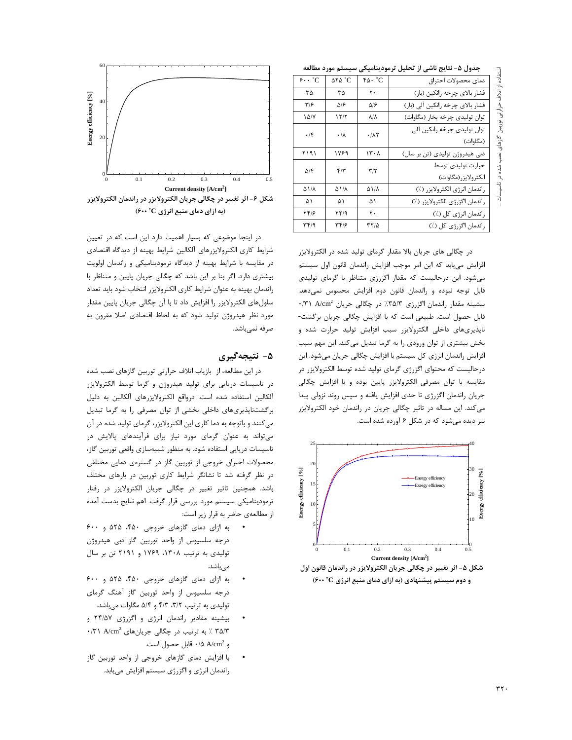لستفاده از اتلاف حرارتی توربین گازهای نصب شده در تاسیسات

حدول ۵- نتایج ناشی از تحلیل ترمودینامیکی سیستم مورد مطالعه

| $J\mathcal{F}$ is the set of $\mathcal{F}$<br>ب-رن - -- -- -- -- - - - - - - - |                                              |                 |                       |  |  |
|--------------------------------------------------------------------------------|----------------------------------------------|-----------------|-----------------------|--|--|
| دماى محصولات احتراق                                                            | $\mathfrak{r}\mathfrak{a}\cdot \mathfrak{c}$ | <b>ATA °C</b>   | $\hat{z}$ . $\hat{C}$ |  |  |
| فشار بالاي چرخه رانكين (بار)                                                   | $\mathsf{r}$ .                               | ٣۵              | ٣۵                    |  |  |
| فشار بالای چرخه رانکین آلی (بار)                                               | ۵۱۶                                          | ۵۱۶             | ۳۱۶                   |  |  |
| توان تولیدی چرخه بخار (مگاوات)                                                 | $\lambda/\lambda$                            | ۱۲/۲            | ۱۵/۷                  |  |  |
| توان تولیدی چرخه رانکین آلی<br>(مگاوات)                                        | $\cdot$ / $\wedge$ ۲                         | $\cdot/\lambda$ | $\cdot$ /۴            |  |  |
| دبی هیدروژن تولیدی (تن بر سال)                                                 | ۱۳۰۸                                         | ۱۷۶۹            | ۲۱۹۱                  |  |  |
| حرارت توليدى توسط<br>الكترولايزر(مگاوات)                                       | $\mathbf{r}/\mathbf{r}$                      | $f/\tau$        | ۵۱۴                   |  |  |
| راندمان انرژى الكترولايزر (٪)                                                  | ۵۱/۸                                         | ۵۱/۸            | ۵۱/۸                  |  |  |
| راندمان اگزرژی الکترولایزر (٪)                                                 | ۵۱                                           | ۵۱              | ۵۱                    |  |  |
| راندمان انرژی کل (٪)                                                           | ٢٠                                           | ۲۲/۹            | ۱۴۱۶                  |  |  |
| راندمان اگزرژی کل (٪)                                                          | ۳۲/۵                                         | ۳۴۱۶            | ۳۴۱۹                  |  |  |

در چگالی های جریان بالا مقدار گرمای تولید شده در الکترولایزر افزایش می یابد که این امر موجب افزایش راندمان قانون اول سیستم می شود. این در حالیست که مقدار اگزرژی متناظر با گرمای تولیدی قابل توجه نبوده و راندمان قانون دوم افزایش محسوس نمیدهد. بیشینه مقدار راندمان اگزرژی ۳۵/۳٪ در چگالی جریان A/cm<sup>2</sup> ۰/۳۱ قابل حصول است. طبیعی است که با افزایش چگالی جریان برگشت-ناپذیریهای داخلی الکترولایزر سبب افزایش تولید حرارت شده و بخش بیشتری از توان ورودی را به گرما تبدیل می کند. این مهم سبب افزایش راندمان انرژی کل سیستم با افزایش چگالی جریان میشود. این درحالیست که محتوای اگزرژی گرمای تولید شده توسط الکترولایزر در مقایسه با توان مصرفی الکترولایزر پایین بوده و با افزایش چگالی جریان راندمان اگزرژی تا حدی افزایش یافته و سپس روند نزولی پیدا می کند. این مساله در تاثیر چگالی جریان در راندمان خود الکترولایزر نیز دیده میشود که در شکل ۶ آورده شده است.



شکل ۵- اثر تغییر در چگالی جریان الکترولایزر در راندمان قانون اول و دوم سیستم پیشنهادی (به ازای دمای منبع انرژی C : ۶۰۰)



شکل ۶- اثر تغییر در چگالی جریان الکترولایزر در راندمان الکترولایزر (به ازای دمای منبع انرژی ۴۰۰ °C)

در اینجا موضوعی که بسیار اهمیت دارد این است که در تعیین شرایط کاری الکترولایزرهای آلکالین شرایط بهینه از دیدگاه اقتصادی در مقایسه با شرایط بهینه از دیدگاه ترمودینامیکی و راندمان اولویت بیشتری دارد. اگر بنا بر این باشد که چگالی جریان پایین و متناظر با راندمان بهينه به عنوان شرايط كارى الكترولايزر انتخاب شود بايد تعداد سلولهای الکترولایزر را افزایش داد تا با آن چگالی جریان پایین مقدار مورد نظر هیدروژن تولید شود که به لحاظ اقتصادی اصلا مقرون به صرفه نميباشد.

#### ۵- نتيجەگيرى

در این مطالعه، از بازیاب اتلاف حرارتی توربین گازهای نصب شده در تاسیسات دریایی برای تولید هیدروژن و گرما توسط الکترولایزر آلکالین استفاده شده است. درواقع الکترولایزرهای آلکالین به دلیل برگشتناپذیریهای داخلی بخشی از توان مصرفی را به گرما تبدیل می کنند و باتوجه به دما کاری این الکترولایزر، گرمای تولید شده در آن می تواند به عنوان گرمای مورد نیاز برای فرآیندهای پالایش در تاسیسات دریایی استفاده شود. به منظور شبیهسازی واقعی توربین گاز، محصولات احتراق خروجی از توربین گاز در گسترهی دمایی مختلفی در نظر گرفته شد تا نشانگر شرایط کاری توربین در بارهای مختلف باشد. همچنین تاثیر تغییر در چگالی جریان الکترولایزر در رفتار ترمودینامیکی سیستم مورد بررسی قرار گرفت. اهم نتایج بدست آمده از مطالعهی حاضر به قرار زیر است:

- به ازای دمای گازهای خروجی ۴۵۰، ۵۲۵ و ۶۰۰ درجه سلسیوس از واحد توربین گاز دبی هیدروژن تولیدی به ترتیب ۱۳۰۸، ۱۷۶۹ و ۲۱۹۱ تن بر سال مىباشد.
- به ازای دمای گازهای خروجی ۴۵۰، ۵۲۵ و ۶۰۰ درجه سلسیوس از واحد توربین گاز آهنگ گرمای تولیدی به ترتیب ٣/٢، ۴/٣ و ۵/۴ مگاوات میباشد.
- بیشینه مقادیر راندمان انرژی و اگزرژی ۲۴/۵۷ و ۰/۳۱ / به ترتیب در چگالی جریانهای A/cm2 ۰/۳۱ A/cm2 و A/cm<sup>2 1</sup>/۵ ۸/cm2 فابل حصول است.
- با افزایش دمای گازهای خروجی از واحد توربین گاز  $\bullet$ راندمان انرژی و اگزرژی سیستم افزایش می یابد.